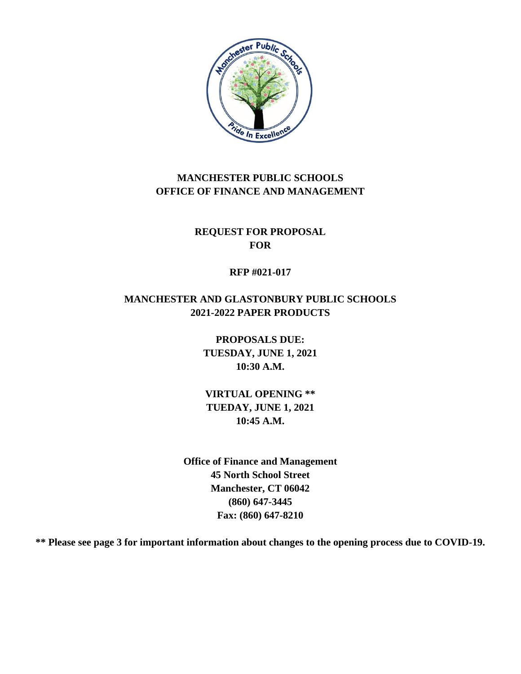

# **MANCHESTER PUBLIC SCHOOLS OFFICE OF FINANCE AND MANAGEMENT**

**REQUEST FOR PROPOSAL FOR**

### **RFP #021-017**

# **MANCHESTER AND GLASTONBURY PUBLIC SCHOOLS 2021-2022 PAPER PRODUCTS**

**PROPOSALS DUE: TUESDAY, JUNE 1, 2021 10:30 A.M.**

**VIRTUAL OPENING \*\* TUEDAY, JUNE 1, 2021 10:45 A.M.**

**Office of Finance and Management 45 North School Street Manchester, CT 06042 (860) 647-3445 Fax: (860) 647-8210**

**\*\* Please see page 3 for important information about changes to the opening process due to COVID-19.**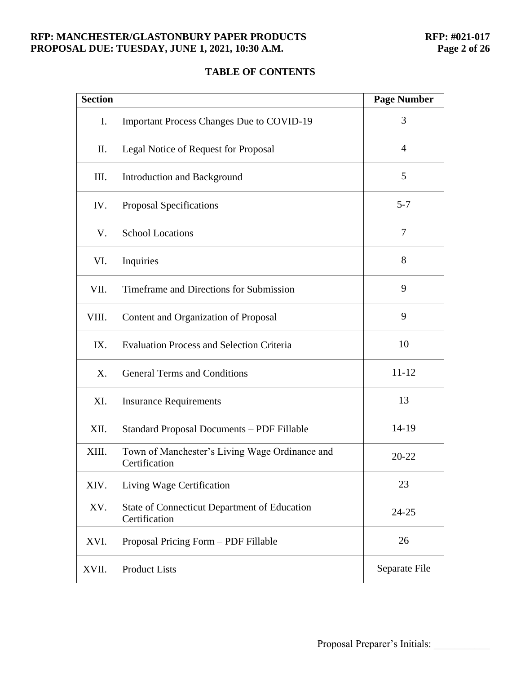#### **RFP: MANCHESTER/GLASTONBURY PAPER PRODUCTS RFP: #021-017<br>PROPOSAL DUE: TUESDAY, JUNE 1, 2021, 10:30 A.M. Page 2 of 26 PROPOSAL DUE: TUESDAY, JUNE 1, 2021, 10:30 A.M.**

# **TABLE OF CONTENTS**

| <b>Section</b> |                                                                 | <b>Page Number</b> |
|----------------|-----------------------------------------------------------------|--------------------|
| I.             | <b>Important Process Changes Due to COVID-19</b>                | 3                  |
| П.             | Legal Notice of Request for Proposal                            | $\overline{4}$     |
| Ш.             | Introduction and Background                                     | 5                  |
| IV.            | Proposal Specifications                                         | $5 - 7$            |
| V.             | <b>School Locations</b>                                         | 7                  |
| VI.            | Inquiries                                                       | 8                  |
| VII.           | Timeframe and Directions for Submission                         | 9                  |
| VIII.          | Content and Organization of Proposal                            | 9                  |
| IX.            | <b>Evaluation Process and Selection Criteria</b>                | 10                 |
| X.             | <b>General Terms and Conditions</b>                             | $11 - 12$          |
| XI.            | <b>Insurance Requirements</b>                                   | 13                 |
| XII.           | <b>Standard Proposal Documents - PDF Fillable</b>               | 14-19              |
| XIII.          | Town of Manchester's Living Wage Ordinance and<br>Certification | 20-22              |
| XIV.           | Living Wage Certification                                       | 23                 |
| XV.            | State of Connecticut Department of Education -<br>Certification | 24-25              |
| XVI.           | Proposal Pricing Form - PDF Fillable                            | 26                 |
| XVII.          | <b>Product Lists</b>                                            | Separate File      |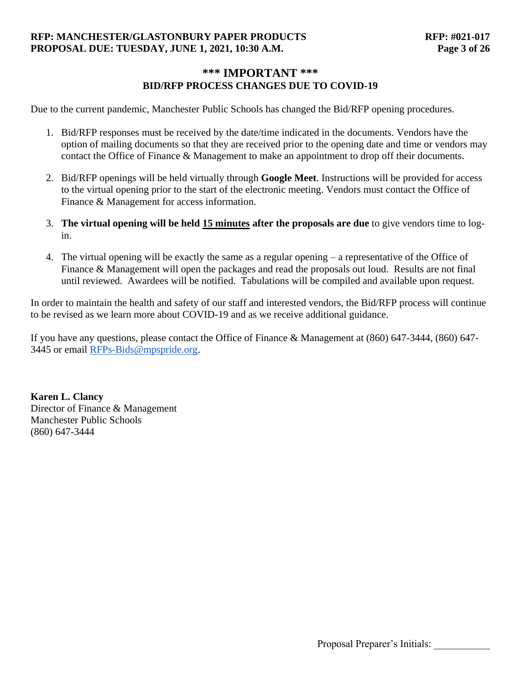### **RFP: MANCHESTER/GLASTONBURY PAPER PRODUCTS RFP: #021-017 PROPOSAL DUE: TUESDAY, JUNE 1, 2021, 10:30 A.M. Page 3 of 26**

# **\*\*\* IMPORTANT \*\*\* BID/RFP PROCESS CHANGES DUE TO COVID-19**

Due to the current pandemic, Manchester Public Schools has changed the Bid/RFP opening procedures.

- 1. Bid/RFP responses must be received by the date/time indicated in the documents. Vendors have the option of mailing documents so that they are received prior to the opening date and time or vendors may contact the Office of Finance & Management to make an appointment to drop off their documents.
- 2. Bid/RFP openings will be held virtually through **Google Meet**. Instructions will be provided for access to the virtual opening prior to the start of the electronic meeting. Vendors must contact the Office of Finance & Management for access information.
- 3. **The virtual opening will be held 15 minutes after the proposals are due** to give vendors time to login.
- 4. The virtual opening will be exactly the same as a regular opening a representative of the Office of Finance & Management will open the packages and read the proposals out loud. Results are not final until reviewed. Awardees will be notified. Tabulations will be compiled and available upon request.

In order to maintain the health and safety of our staff and interested vendors, the Bid/RFP process will continue to be revised as we learn more about COVID-19 and as we receive additional guidance.

If you have any questions, please contact the Office of Finance & Management at (860) 647-3444, (860) 647- 3445 or email [RFPs-Bids@mpspride.org.](mailto:RFP-BIDS@mpspride.org)

**Karen L. Clancy** Director of Finance & Management Manchester Public Schools (860) 647-3444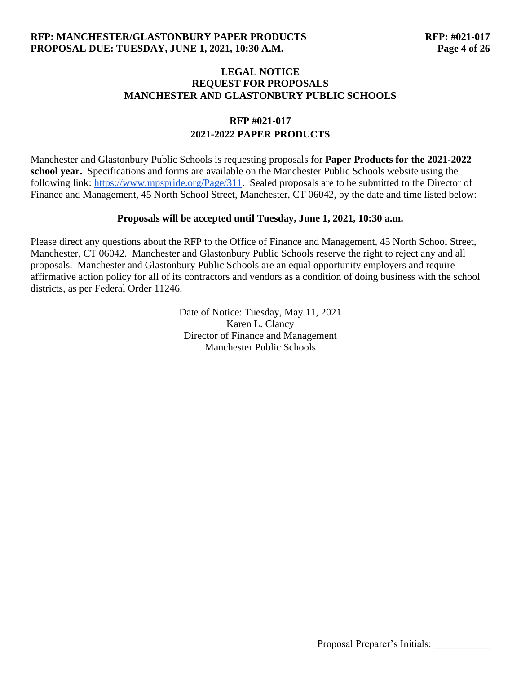### **LEGAL NOTICE REQUEST FOR PROPOSALS MANCHESTER AND GLASTONBURY PUBLIC SCHOOLS**

# **RFP #021-017 2021-2022 PAPER PRODUCTS**

Manchester and Glastonbury Public Schools is requesting proposals for **Paper Products for the 2021-2022 school year.** Specifications and forms are available on the Manchester Public Schools website using the following link: [https://www.mpspride.org/Page/311.](https://www.mpspride.org/Page/311) Sealed proposals are to be submitted to the Director of Finance and Management, 45 North School Street, Manchester, CT 06042, by the date and time listed below:

#### **Proposals will be accepted until Tuesday, June 1, 2021, 10:30 a.m.**

Please direct any questions about the RFP to the Office of Finance and Management, 45 North School Street, Manchester, CT 06042. Manchester and Glastonbury Public Schools reserve the right to reject any and all proposals. Manchester and Glastonbury Public Schools are an equal opportunity employers and require affirmative action policy for all of its contractors and vendors as a condition of doing business with the school districts, as per Federal Order 11246.

> Date of Notice: Tuesday, May 11, 2021 Karen L. Clancy Director of Finance and Management Manchester Public Schools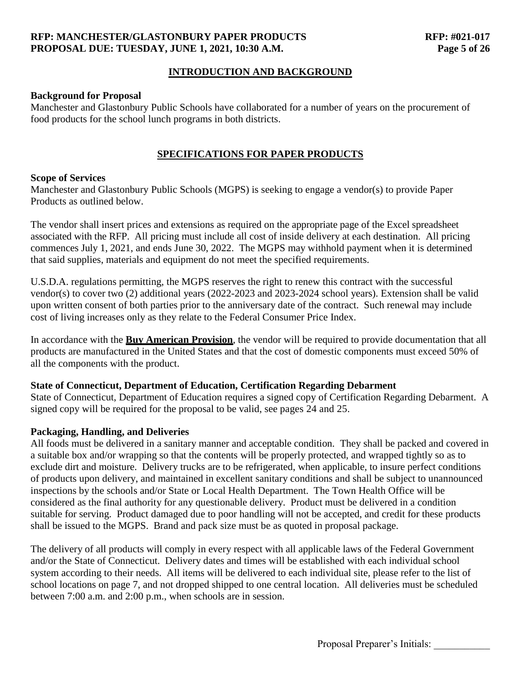#### **RFP: MANCHESTER/GLASTONBURY PAPER PRODUCTS RFP: #021-017 PROPOSAL DUE: TUESDAY, JUNE 1, 2021, 10:30 A.M. Page 5 of 26**

### **INTRODUCTION AND BACKGROUND**

#### **Background for Proposal**

Manchester and Glastonbury Public Schools have collaborated for a number of years on the procurement of food products for the school lunch programs in both districts.

### **SPECIFICATIONS FOR PAPER PRODUCTS**

#### **Scope of Services**

Manchester and Glastonbury Public Schools (MGPS) is seeking to engage a vendor(s) to provide Paper Products as outlined below.

The vendor shall insert prices and extensions as required on the appropriate page of the Excel spreadsheet associated with the RFP. All pricing must include all cost of inside delivery at each destination. All pricing commences July 1, 2021, and ends June 30, 2022. The MGPS may withhold payment when it is determined that said supplies, materials and equipment do not meet the specified requirements.

U.S.D.A. regulations permitting, the MGPS reserves the right to renew this contract with the successful vendor(s) to cover two (2) additional years (2022-2023 and 2023-2024 school years). Extension shall be valid upon written consent of both parties prior to the anniversary date of the contract. Such renewal may include cost of living increases only as they relate to the Federal Consumer Price Index.

In accordance with the **Buy American Provision**, the vendor will be required to provide documentation that all products are manufactured in the United States and that the cost of domestic components must exceed 50% of all the components with the product.

#### **State of Connecticut, Department of Education, Certification Regarding Debarment**

State of Connecticut, Department of Education requires a signed copy of Certification Regarding Debarment. A signed copy will be required for the proposal to be valid, see pages 24 and 25.

#### **Packaging, Handling, and Deliveries**

All foods must be delivered in a sanitary manner and acceptable condition. They shall be packed and covered in a suitable box and/or wrapping so that the contents will be properly protected, and wrapped tightly so as to exclude dirt and moisture. Delivery trucks are to be refrigerated, when applicable, to insure perfect conditions of products upon delivery, and maintained in excellent sanitary conditions and shall be subject to unannounced inspections by the schools and/or State or Local Health Department. The Town Health Office will be considered as the final authority for any questionable delivery. Product must be delivered in a condition suitable for serving. Product damaged due to poor handling will not be accepted, and credit for these products shall be issued to the MGPS. Brand and pack size must be as quoted in proposal package.

The delivery of all products will comply in every respect with all applicable laws of the Federal Government and/or the State of Connecticut. Delivery dates and times will be established with each individual school system according to their needs. All items will be delivered to each individual site, please refer to the list of school locations on page 7, and not dropped shipped to one central location. All deliveries must be scheduled between 7:00 a.m. and 2:00 p.m., when schools are in session.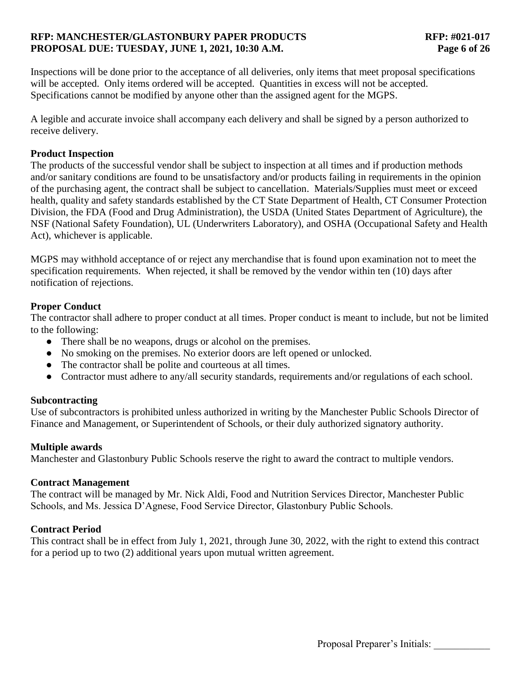### **RFP: MANCHESTER/GLASTONBURY PAPER PRODUCTS RFP: #021-017 PROPOSAL DUE: TUESDAY, JUNE 1, 2021, 10:30 A.M. Page 6 of 26**

Inspections will be done prior to the acceptance of all deliveries, only items that meet proposal specifications will be accepted. Only items ordered will be accepted. Quantities in excess will not be accepted. Specifications cannot be modified by anyone other than the assigned agent for the MGPS.

A legible and accurate invoice shall accompany each delivery and shall be signed by a person authorized to receive delivery.

#### **Product Inspection**

The products of the successful vendor shall be subject to inspection at all times and if production methods and/or sanitary conditions are found to be unsatisfactory and/or products failing in requirements in the opinion of the purchasing agent, the contract shall be subject to cancellation. Materials/Supplies must meet or exceed health, quality and safety standards established by the CT State Department of Health, CT Consumer Protection Division, the FDA (Food and Drug Administration), the USDA (United States Department of Agriculture), the NSF (National Safety Foundation), UL (Underwriters Laboratory), and OSHA (Occupational Safety and Health Act), whichever is applicable.

MGPS may withhold acceptance of or reject any merchandise that is found upon examination not to meet the specification requirements. When rejected, it shall be removed by the vendor within ten (10) days after notification of rejections.

### **Proper Conduct**

The contractor shall adhere to proper conduct at all times. Proper conduct is meant to include, but not be limited to the following:

- There shall be no weapons, drugs or alcohol on the premises.
- No smoking on the premises. No exterior doors are left opened or unlocked.
- The contractor shall be polite and courteous at all times.
- Contractor must adhere to any/all security standards, requirements and/or regulations of each school.

### **Subcontracting**

Use of subcontractors is prohibited unless authorized in writing by the Manchester Public Schools Director of Finance and Management, or Superintendent of Schools, or their duly authorized signatory authority.

#### **Multiple awards**

Manchester and Glastonbury Public Schools reserve the right to award the contract to multiple vendors.

#### **Contract Management**

The contract will be managed by Mr. Nick Aldi, Food and Nutrition Services Director, Manchester Public Schools, and Ms. Jessica D'Agnese, Food Service Director, Glastonbury Public Schools.

#### **Contract Period**

This contract shall be in effect from July 1, 2021, through June 30, 2022, with the right to extend this contract for a period up to two (2) additional years upon mutual written agreement.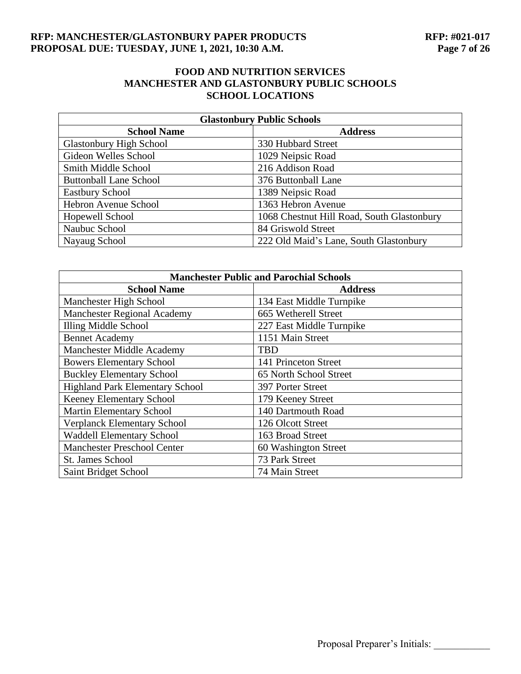#### **RFP: MANCHESTER/GLASTONBURY PAPER PRODUCTS RFP: #021-017<br>PROPOSAL DUE: TUESDAY, JUNE 1, 2021, 10:30 A.M. Page 7 of 26 PROPOSAL DUE: TUESDAY, JUNE 1, 2021, 10:30 A.M.**

## **FOOD AND NUTRITION SERVICES MANCHESTER AND GLASTONBURY PUBLIC SCHOOLS SCHOOL LOCATIONS**

| <b>Glastonbury Public Schools</b> |                                            |  |
|-----------------------------------|--------------------------------------------|--|
| <b>School Name</b>                | <b>Address</b>                             |  |
| <b>Glastonbury High School</b>    | 330 Hubbard Street                         |  |
| Gideon Welles School              | 1029 Neipsic Road                          |  |
| Smith Middle School               | 216 Addison Road                           |  |
| <b>Buttonball Lane School</b>     | 376 Buttonball Lane                        |  |
| <b>Eastbury School</b>            | 1389 Neipsic Road                          |  |
| Hebron Avenue School              | 1363 Hebron Avenue                         |  |
| Hopewell School                   | 1068 Chestnut Hill Road, South Glastonbury |  |
| Naubuc School                     | 84 Griswold Street                         |  |
| Nayaug School                     | 222 Old Maid's Lane, South Glastonbury     |  |

| <b>Manchester Public and Parochial Schools</b> |                          |  |  |
|------------------------------------------------|--------------------------|--|--|
| <b>School Name</b>                             | <b>Address</b>           |  |  |
| Manchester High School                         | 134 East Middle Turnpike |  |  |
| <b>Manchester Regional Academy</b>             | 665 Wetherell Street     |  |  |
| <b>Illing Middle School</b>                    | 227 East Middle Turnpike |  |  |
| <b>Bennet Academy</b>                          | 1151 Main Street         |  |  |
| <b>Manchester Middle Academy</b>               | <b>TBD</b>               |  |  |
| <b>Bowers Elementary School</b>                | 141 Princeton Street     |  |  |
| <b>Buckley Elementary School</b>               | 65 North School Street   |  |  |
| <b>Highland Park Elementary School</b>         | 397 Porter Street        |  |  |
| <b>Keeney Elementary School</b>                | 179 Keeney Street        |  |  |
| <b>Martin Elementary School</b>                | 140 Dartmouth Road       |  |  |
| <b>Verplanck Elementary School</b>             | 126 Olcott Street        |  |  |
| <b>Waddell Elementary School</b>               | 163 Broad Street         |  |  |
| <b>Manchester Preschool Center</b>             | 60 Washington Street     |  |  |
| St. James School                               | 73 Park Street           |  |  |
| Saint Bridget School                           | 74 Main Street           |  |  |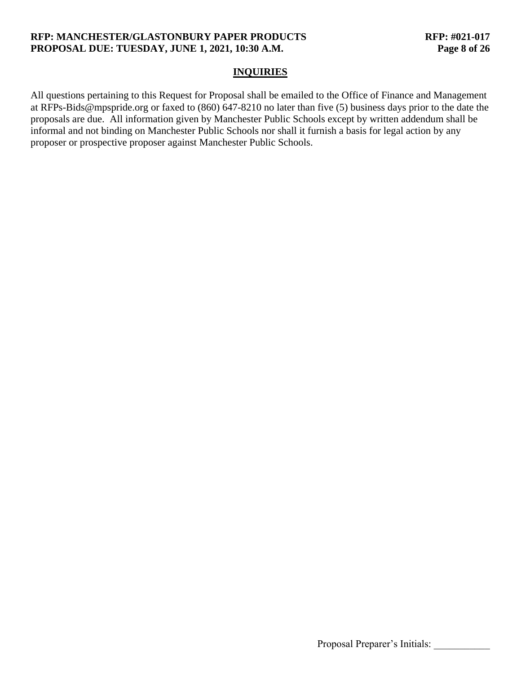### **RFP: MANCHESTER/GLASTONBURY PAPER PRODUCTS RFP: #021-017 PROPOSAL DUE: TUESDAY, JUNE 1, 2021, 10:30 A.M. Page 8 of 26**

#### **INQUIRIES**

All questions pertaining to this Request for Proposal shall be emailed to the Office of Finance and Management at RFPs-Bids@mpspride.org or faxed to (860) 647-8210 no later than five (5) business days prior to the date the proposals are due. All information given by Manchester Public Schools except by written addendum shall be informal and not binding on Manchester Public Schools nor shall it furnish a basis for legal action by any proposer or prospective proposer against Manchester Public Schools.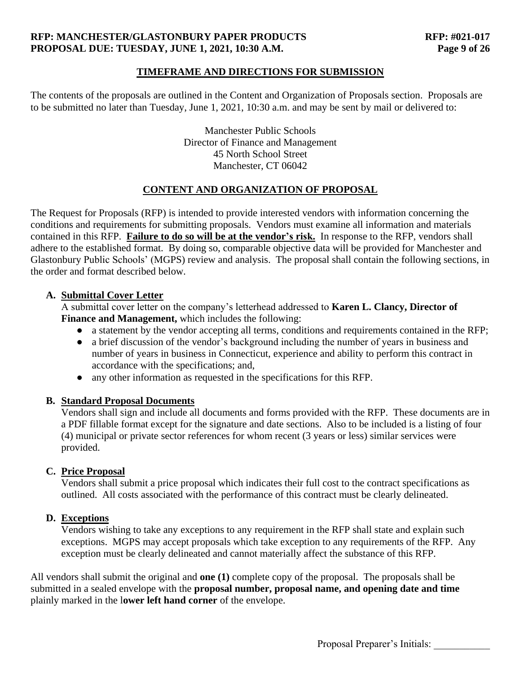### **RFP: MANCHESTER/GLASTONBURY PAPER PRODUCTS RFP: #021-017 PROPOSAL DUE: TUESDAY, JUNE 1, 2021, 10:30 A.M. Page 9 of 26**

### **TIMEFRAME AND DIRECTIONS FOR SUBMISSION**

The contents of the proposals are outlined in the Content and Organization of Proposals section. Proposals are to be submitted no later than Tuesday, June 1, 2021, 10:30 a.m. and may be sent by mail or delivered to:

> Manchester Public Schools Director of Finance and Management 45 North School Street Manchester, CT 06042

### **CONTENT AND ORGANIZATION OF PROPOSAL**

The Request for Proposals (RFP) is intended to provide interested vendors with information concerning the conditions and requirements for submitting proposals. Vendors must examine all information and materials contained in this RFP. **Failure to do so will be at the vendor's risk.** In response to the RFP, vendors shall adhere to the established format. By doing so, comparable objective data will be provided for Manchester and Glastonbury Public Schools' (MGPS) review and analysis. The proposal shall contain the following sections, in the order and format described below.

#### **A. Submittal Cover Letter**

A submittal cover letter on the company's letterhead addressed to **Karen L. Clancy, Director of Finance and Management,** which includes the following:

- a statement by the vendor accepting all terms, conditions and requirements contained in the RFP;
- a brief discussion of the vendor's background including the number of years in business and number of years in business in Connecticut, experience and ability to perform this contract in accordance with the specifications; and,
- any other information as requested in the specifications for this RFP.

#### **B. Standard Proposal Documents**

Vendors shall sign and include all documents and forms provided with the RFP. These documents are in a PDF fillable format except for the signature and date sections. Also to be included is a listing of four (4) municipal or private sector references for whom recent (3 years or less) similar services were provided.

### **C. Price Proposal**

Vendors shall submit a price proposal which indicates their full cost to the contract specifications as outlined. All costs associated with the performance of this contract must be clearly delineated.

### **D. Exceptions**

Vendors wishing to take any exceptions to any requirement in the RFP shall state and explain such exceptions. MGPS may accept proposals which take exception to any requirements of the RFP. Any exception must be clearly delineated and cannot materially affect the substance of this RFP.

All vendors shall submit the original and **one (1)** complete copy of the proposal. The proposals shall be submitted in a sealed envelope with the **proposal number, proposal name, and opening date and time** plainly marked in the l**ower left hand corner** of the envelope.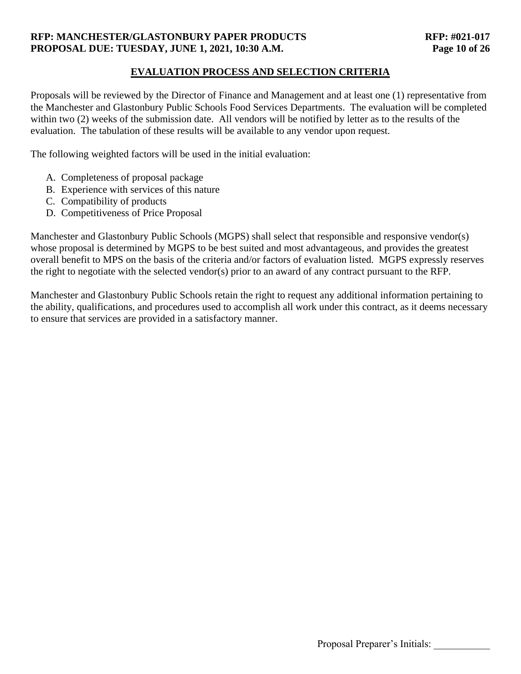### **RFP: MANCHESTER/GLASTONBURY PAPER PRODUCTS RFP: #021-017 PROPOSAL DUE: TUESDAY, JUNE 1, 2021, 10:30 A.M. Page 10 of 26**

### **EVALUATION PROCESS AND SELECTION CRITERIA**

Proposals will be reviewed by the Director of Finance and Management and at least one (1) representative from the Manchester and Glastonbury Public Schools Food Services Departments. The evaluation will be completed within two (2) weeks of the submission date. All vendors will be notified by letter as to the results of the evaluation. The tabulation of these results will be available to any vendor upon request.

The following weighted factors will be used in the initial evaluation:

- A. Completeness of proposal package
- B. Experience with services of this nature
- C. Compatibility of products
- D. Competitiveness of Price Proposal

Manchester and Glastonbury Public Schools (MGPS) shall select that responsible and responsive vendor(s) whose proposal is determined by MGPS to be best suited and most advantageous, and provides the greatest overall benefit to MPS on the basis of the criteria and/or factors of evaluation listed. MGPS expressly reserves the right to negotiate with the selected vendor(s) prior to an award of any contract pursuant to the RFP.

Manchester and Glastonbury Public Schools retain the right to request any additional information pertaining to the ability, qualifications, and procedures used to accomplish all work under this contract, as it deems necessary to ensure that services are provided in a satisfactory manner.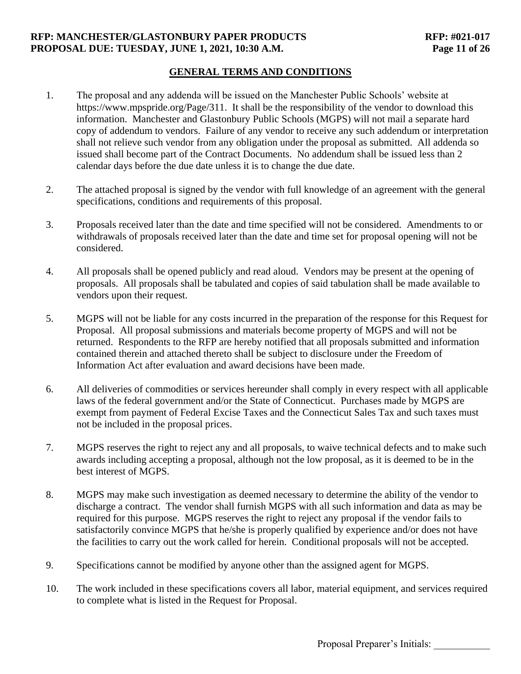### **RFP: MANCHESTER/GLASTONBURY PAPER PRODUCTS RFP: #021-017 PROPOSAL DUE: TUESDAY, JUNE 1, 2021, 10:30 A.M. Page 11 of 26**

### **GENERAL TERMS AND CONDITIONS**

- 1. The proposal and any addenda will be issued on the Manchester Public Schools' website at https://www.mpspride.org/Page/311. It shall be the responsibility of the vendor to download this information. Manchester and Glastonbury Public Schools (MGPS) will not mail a separate hard copy of addendum to vendors. Failure of any vendor to receive any such addendum or interpretation shall not relieve such vendor from any obligation under the proposal as submitted. All addenda so issued shall become part of the Contract Documents. No addendum shall be issued less than 2 calendar days before the due date unless it is to change the due date.
- 2. The attached proposal is signed by the vendor with full knowledge of an agreement with the general specifications, conditions and requirements of this proposal.
- 3. Proposals received later than the date and time specified will not be considered. Amendments to or withdrawals of proposals received later than the date and time set for proposal opening will not be considered.
- 4. All proposals shall be opened publicly and read aloud. Vendors may be present at the opening of proposals. All proposals shall be tabulated and copies of said tabulation shall be made available to vendors upon their request.
- 5. MGPS will not be liable for any costs incurred in the preparation of the response for this Request for Proposal. All proposal submissions and materials become property of MGPS and will not be returned. Respondents to the RFP are hereby notified that all proposals submitted and information contained therein and attached thereto shall be subject to disclosure under the Freedom of Information Act after evaluation and award decisions have been made.
- 6. All deliveries of commodities or services hereunder shall comply in every respect with all applicable laws of the federal government and/or the State of Connecticut. Purchases made by MGPS are exempt from payment of Federal Excise Taxes and the Connecticut Sales Tax and such taxes must not be included in the proposal prices.
- 7. MGPS reserves the right to reject any and all proposals, to waive technical defects and to make such awards including accepting a proposal, although not the low proposal, as it is deemed to be in the best interest of MGPS.
- 8. MGPS may make such investigation as deemed necessary to determine the ability of the vendor to discharge a contract. The vendor shall furnish MGPS with all such information and data as may be required for this purpose. MGPS reserves the right to reject any proposal if the vendor fails to satisfactorily convince MGPS that he/she is properly qualified by experience and/or does not have the facilities to carry out the work called for herein. Conditional proposals will not be accepted.
- 9. Specifications cannot be modified by anyone other than the assigned agent for MGPS.
- 10. The work included in these specifications covers all labor, material equipment, and services required to complete what is listed in the Request for Proposal.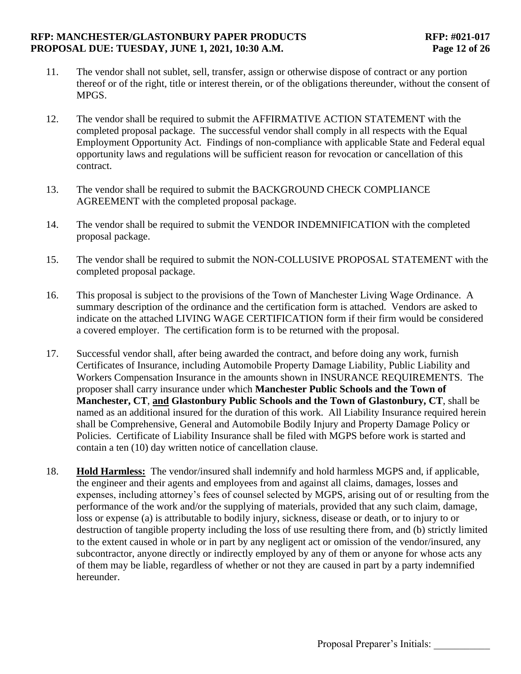### **RFP: MANCHESTER/GLASTONBURY PAPER PRODUCTS RFP: #021-017 PROPOSAL DUE: TUESDAY, JUNE 1, 2021, 10:30 A.M. Page 12 of 26**

- 11. The vendor shall not sublet, sell, transfer, assign or otherwise dispose of contract or any portion thereof or of the right, title or interest therein, or of the obligations thereunder, without the consent of MPGS.
- 12. The vendor shall be required to submit the AFFIRMATIVE ACTION STATEMENT with the completed proposal package. The successful vendor shall comply in all respects with the Equal Employment Opportunity Act. Findings of non-compliance with applicable State and Federal equal opportunity laws and regulations will be sufficient reason for revocation or cancellation of this contract.
- 13. The vendor shall be required to submit the BACKGROUND CHECK COMPLIANCE AGREEMENT with the completed proposal package.
- 14. The vendor shall be required to submit the VENDOR INDEMNIFICATION with the completed proposal package.
- 15. The vendor shall be required to submit the NON-COLLUSIVE PROPOSAL STATEMENT with the completed proposal package.
- 16. This proposal is subject to the provisions of the Town of Manchester Living Wage Ordinance. A summary description of the ordinance and the certification form is attached. Vendors are asked to indicate on the attached LIVING WAGE CERTIFICATION form if their firm would be considered a covered employer. The certification form is to be returned with the proposal.
- 17. Successful vendor shall, after being awarded the contract, and before doing any work, furnish Certificates of Insurance, including Automobile Property Damage Liability, Public Liability and Workers Compensation Insurance in the amounts shown in INSURANCE REQUIREMENTS. The proposer shall carry insurance under which **Manchester Public Schools and the Town of Manchester, CT**, **and Glastonbury Public Schools and the Town of Glastonbury, CT**, shall be named as an additional insured for the duration of this work. All Liability Insurance required herein shall be Comprehensive, General and Automobile Bodily Injury and Property Damage Policy or Policies. Certificate of Liability Insurance shall be filed with MGPS before work is started and contain a ten (10) day written notice of cancellation clause.
- 18. **Hold Harmless:** The vendor/insured shall indemnify and hold harmless MGPS and, if applicable, the engineer and their agents and employees from and against all claims, damages, losses and expenses, including attorney's fees of counsel selected by MGPS, arising out of or resulting from the performance of the work and/or the supplying of materials, provided that any such claim, damage, loss or expense (a) is attributable to bodily injury, sickness, disease or death, or to injury to or destruction of tangible property including the loss of use resulting there from, and (b) strictly limited to the extent caused in whole or in part by any negligent act or omission of the vendor/insured, any subcontractor, anyone directly or indirectly employed by any of them or anyone for whose acts any of them may be liable, regardless of whether or not they are caused in part by a party indemnified hereunder.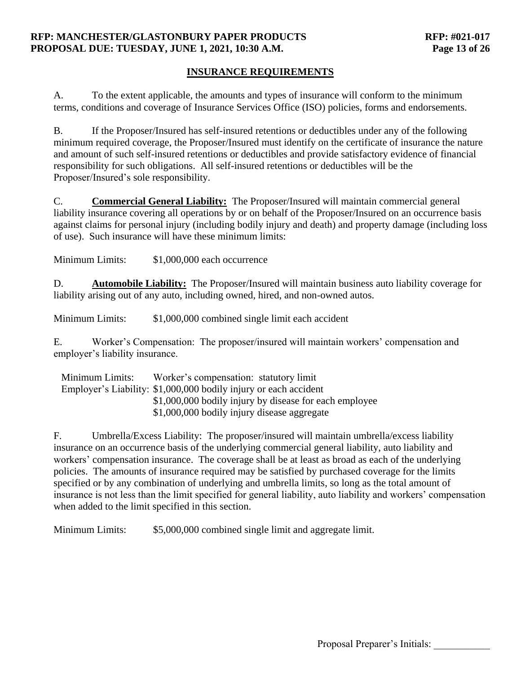#### **RFP: MANCHESTER/GLASTONBURY PAPER PRODUCTS RFP: #021-017 PROPOSAL DUE: TUESDAY, JUNE 1, 2021, 10:30 A.M. Page 13 of 26**

## **INSURANCE REQUIREMENTS**

A. To the extent applicable, the amounts and types of insurance will conform to the minimum terms, conditions and coverage of Insurance Services Office (ISO) policies, forms and endorsements.

B. If the Proposer/Insured has self-insured retentions or deductibles under any of the following minimum required coverage, the Proposer/Insured must identify on the certificate of insurance the nature and amount of such self-insured retentions or deductibles and provide satisfactory evidence of financial responsibility for such obligations. All self-insured retentions or deductibles will be the Proposer/Insured's sole responsibility.

C. **Commercial General Liability:** The Proposer/Insured will maintain commercial general liability insurance covering all operations by or on behalf of the Proposer/Insured on an occurrence basis against claims for personal injury (including bodily injury and death) and property damage (including loss of use). Such insurance will have these minimum limits:

Minimum Limits:  $$1,000,000$  each occurrence

D. **Automobile Liability:** The Proposer/Insured will maintain business auto liability coverage for liability arising out of any auto, including owned, hired, and non-owned autos.

Minimum Limits:  $$1,000,000$  combined single limit each accident

E. Worker's Compensation: The proposer/insured will maintain workers' compensation and employer's liability insurance.

| Minimum Limits: | Worker's compensation: statutory limit                           |
|-----------------|------------------------------------------------------------------|
|                 | Employer's Liability: \$1,000,000 bodily injury or each accident |
|                 | \$1,000,000 bodily injury by disease for each employee           |
|                 | \$1,000,000 bodily injury disease aggregate                      |

F. Umbrella/Excess Liability: The proposer/insured will maintain umbrella/excess liability insurance on an occurrence basis of the underlying commercial general liability, auto liability and workers' compensation insurance. The coverage shall be at least as broad as each of the underlying policies. The amounts of insurance required may be satisfied by purchased coverage for the limits specified or by any combination of underlying and umbrella limits, so long as the total amount of insurance is not less than the limit specified for general liability, auto liability and workers' compensation when added to the limit specified in this section.

Minimum Limits: \$5,000,000 combined single limit and aggregate limit.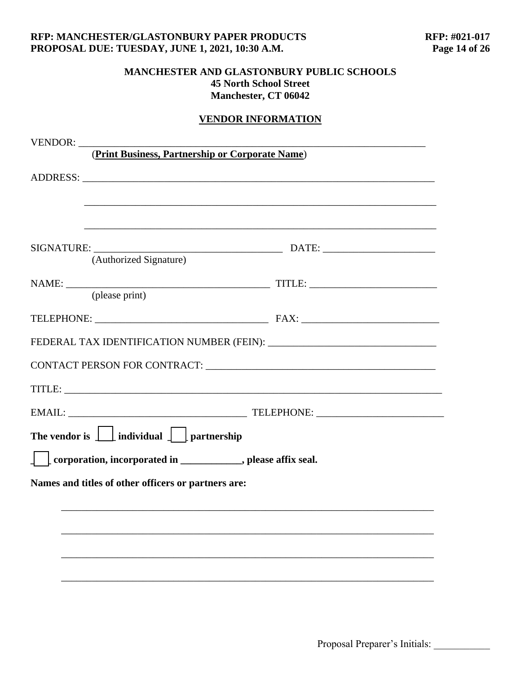# **VENDOR INFORMATION**

| VENDOR:                                                                          |               |  |
|----------------------------------------------------------------------------------|---------------|--|
| (Print Business, Partnership or Corporate Name)                                  |               |  |
|                                                                                  |               |  |
|                                                                                  |               |  |
|                                                                                  |               |  |
|                                                                                  |               |  |
| (Authorized Signature)                                                           |               |  |
|                                                                                  |               |  |
| (please print)                                                                   |               |  |
|                                                                                  |               |  |
|                                                                                  |               |  |
|                                                                                  |               |  |
|                                                                                  | TITLE: TITLE: |  |
|                                                                                  |               |  |
| The vendor is $\boxed{\phantom{a}}$ individual $\boxed{\phantom{a}}$ partnership |               |  |
| corporation, incorporated in ____________, please affix seal.                    |               |  |
| Names and titles of other officers or partners are:                              |               |  |
|                                                                                  |               |  |
|                                                                                  |               |  |
|                                                                                  |               |  |
|                                                                                  |               |  |
|                                                                                  |               |  |
|                                                                                  |               |  |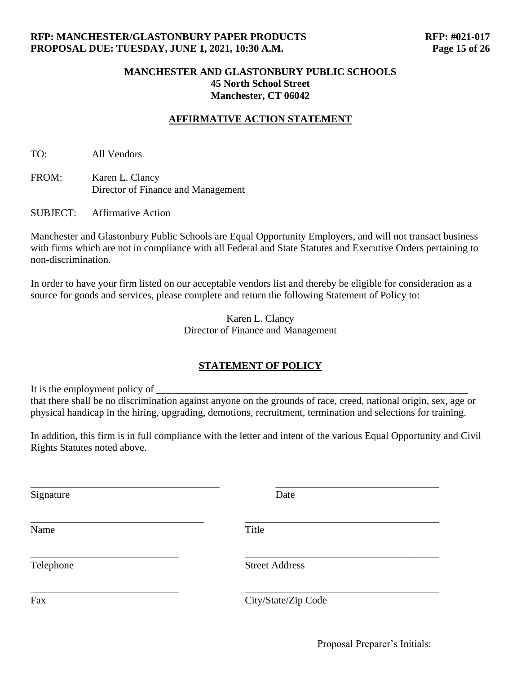### **AFFIRMATIVE ACTION STATEMENT**

TO: All Vendors

FROM: Karen L. Clancy Director of Finance and Management

SUBJECT: Affirmative Action

Manchester and Glastonbury Public Schools are Equal Opportunity Employers, and will not transact business with firms which are not in compliance with all Federal and State Statutes and Executive Orders pertaining to non-discrimination.

In order to have your firm listed on our acceptable vendors list and thereby be eligible for consideration as a source for goods and services, please complete and return the following Statement of Policy to:

> Karen L. Clancy Director of Finance and Management

#### **STATEMENT OF POLICY**

It is the employment policy of that there shall be no discrimination against anyone on the grounds of race, creed, national origin, sex, age or physical handicap in the hiring, upgrading, demotions, recruitment, termination and selections for training.

In addition, this firm is in full compliance with the letter and intent of the various Equal Opportunity and Civil Rights Statutes noted above.

| Signature | Date                  |
|-----------|-----------------------|
| Name      | Title                 |
| Telephone | <b>Street Address</b> |
| Fax       | City/State/Zip Code   |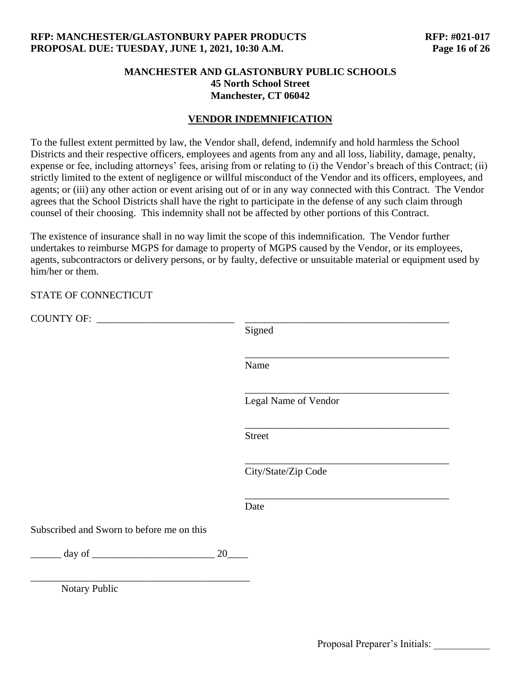### **VENDOR INDEMNIFICATION**

To the fullest extent permitted by law, the Vendor shall, defend, indemnify and hold harmless the School Districts and their respective officers, employees and agents from any and all loss, liability, damage, penalty, expense or fee, including attorneys' fees, arising from or relating to (i) the Vendor's breach of this Contract; (ii) strictly limited to the extent of negligence or willful misconduct of the Vendor and its officers, employees, and agents; or (iii) any other action or event arising out of or in any way connected with this Contract. The Vendor agrees that the School Districts shall have the right to participate in the defense of any such claim through counsel of their choosing. This indemnity shall not be affected by other portions of this Contract.

The existence of insurance shall in no way limit the scope of this indemnification. The Vendor further undertakes to reimburse MGPS for damage to property of MGPS caused by the Vendor, or its employees, agents, subcontractors or delivery persons, or by faulty, defective or unsuitable material or equipment used by him/her or them.

#### STATE OF CONNECTICUT

|                                           |    | Signed               |
|-------------------------------------------|----|----------------------|
|                                           |    | Name                 |
|                                           |    | Legal Name of Vendor |
|                                           |    | <b>Street</b>        |
|                                           |    | City/State/Zip Code  |
|                                           |    | Date                 |
| Subscribed and Sworn to before me on this |    |                      |
| $\equiv$ day of $\equiv$                  | 20 |                      |
| Notary Public                             |    |                      |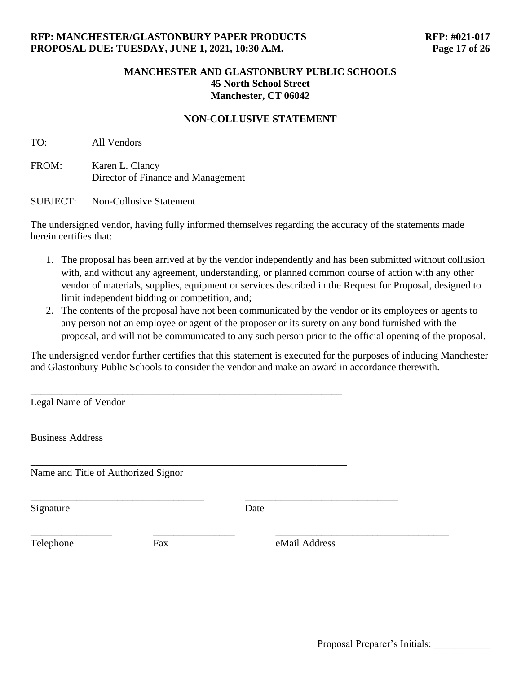### **NON-COLLUSIVE STATEMENT**

TO: All Vendors

FROM: Karen L. Clancy Director of Finance and Management

SUBJECT: Non-Collusive Statement

The undersigned vendor, having fully informed themselves regarding the accuracy of the statements made herein certifies that:

- 1. The proposal has been arrived at by the vendor independently and has been submitted without collusion with, and without any agreement, understanding, or planned common course of action with any other vendor of materials, supplies, equipment or services described in the Request for Proposal, designed to limit independent bidding or competition, and;
- 2. The contents of the proposal have not been communicated by the vendor or its employees or agents to any person not an employee or agent of the proposer or its surety on any bond furnished with the proposal, and will not be communicated to any such person prior to the official opening of the proposal.

The undersigned vendor further certifies that this statement is executed for the purposes of inducing Manchester and Glastonbury Public Schools to consider the vendor and make an award in accordance therewith.

| Legal Name of Vendor                |     |               |  |
|-------------------------------------|-----|---------------|--|
| <b>Business Address</b>             |     |               |  |
| Name and Title of Authorized Signor |     |               |  |
| Signature                           |     | Date          |  |
| Telephone                           | Fax | eMail Address |  |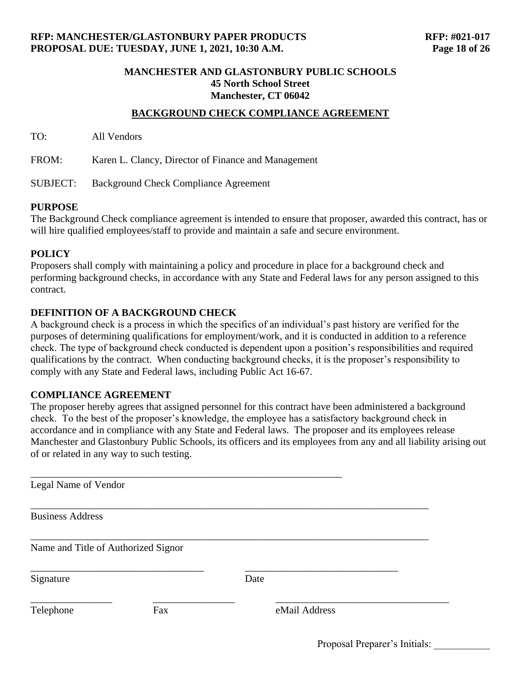#### **BACKGROUND CHECK COMPLIANCE AGREEMENT**

TO: All Vendors

FROM: Karen L. Clancy, Director of Finance and Management

SUBJECT: Background Check Compliance Agreement

#### **PURPOSE**

The Background Check compliance agreement is intended to ensure that proposer, awarded this contract, has or will hire qualified employees/staff to provide and maintain a safe and secure environment.

#### **POLICY**

Proposers shall comply with maintaining a policy and procedure in place for a background check and performing background checks, in accordance with any State and Federal laws for any person assigned to this contract.

#### **DEFINITION OF A BACKGROUND CHECK**

A background check is a process in which the specifics of an individual's past history are verified for the purposes of determining qualifications for employment/work, and it is conducted in addition to a reference check. The type of background check conducted is dependent upon a position's responsibilities and required qualifications by the contract. When conducting background checks, it is the proposer's responsibility to comply with any State and Federal laws, including Public Act 16-67.

#### **COMPLIANCE AGREEMENT**

The proposer hereby agrees that assigned personnel for this contract have been administered a background check. To the best of the proposer's knowledge, the employee has a satisfactory background check in accordance and in compliance with any State and Federal laws. The proposer and its employees release Manchester and Glastonbury Public Schools, its officers and its employees from any and all liability arising out of or related in any way to such testing.

| Legal Name of Vendor                |     |               |  |
|-------------------------------------|-----|---------------|--|
| <b>Business Address</b>             |     |               |  |
| Name and Title of Authorized Signor |     |               |  |
| Signature                           |     | Date          |  |
| Telephone                           | Fax | eMail Address |  |

Proposal Preparer's Initials: \_\_\_\_\_\_\_\_\_\_\_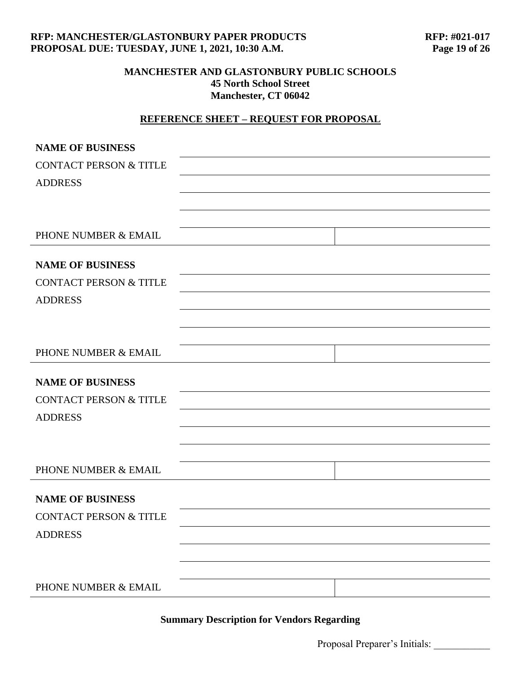#### **RFP: MANCHESTER/GLASTONBURY PAPER PRODUCTS RFP: #021-017 PROPOSAL DUE: TUESDAY, JUNE 1, 2021, 10:30 A.M. Page 19 of 26**

### **MANCHESTER AND GLASTONBURY PUBLIC SCHOOLS 45 North School Street Manchester, CT 06042**

# **REFERENCE SHEET – REQUEST FOR PROPOSAL**

| <b>NAME OF BUSINESS</b>           |  |
|-----------------------------------|--|
| <b>CONTACT PERSON &amp; TITLE</b> |  |
| <b>ADDRESS</b>                    |  |
|                                   |  |
|                                   |  |
| PHONE NUMBER & EMAIL              |  |
|                                   |  |
| <b>NAME OF BUSINESS</b>           |  |
| <b>CONTACT PERSON &amp; TITLE</b> |  |
| <b>ADDRESS</b>                    |  |
|                                   |  |
|                                   |  |
| PHONE NUMBER & EMAIL              |  |
| <b>NAME OF BUSINESS</b>           |  |
| <b>CONTACT PERSON &amp; TITLE</b> |  |
| <b>ADDRESS</b>                    |  |
|                                   |  |
|                                   |  |
|                                   |  |
| PHONE NUMBER & EMAIL              |  |
| <b>NAME OF BUSINESS</b>           |  |
| <b>CONTACT PERSON &amp; TITLE</b> |  |
| <b>ADDRESS</b>                    |  |
|                                   |  |
|                                   |  |
| PHONE NUMBER & EMAIL              |  |

# **Summary Description for Vendors Regarding**

Proposal Preparer's Initials: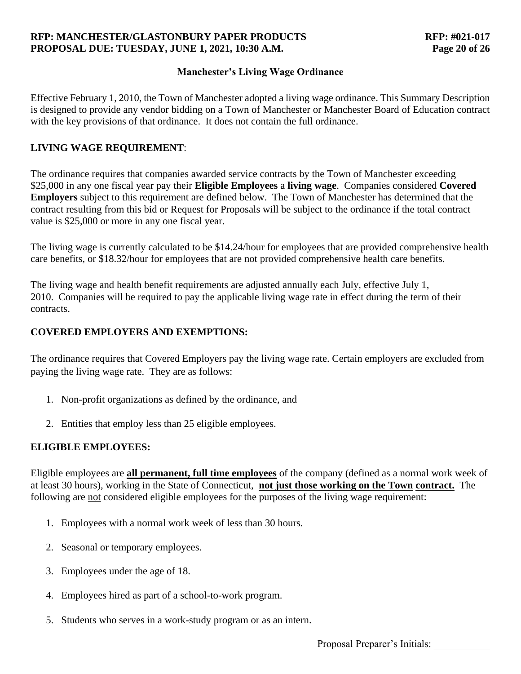### **RFP: MANCHESTER/GLASTONBURY PAPER PRODUCTS RFP: #021-017 PROPOSAL DUE: TUESDAY, JUNE 1, 2021, 10:30 A.M. Page 20 of 26**

### **Manchester's Living Wage Ordinance**

Effective February 1, 2010, the Town of Manchester adopted a living wage ordinance. This Summary Description is designed to provide any vendor bidding on a Town of Manchester or Manchester Board of Education contract with the key provisions of that ordinance. It does not contain the full ordinance.

## **LIVING WAGE REQUIREMENT**:

The ordinance requires that companies awarded service contracts by the Town of Manchester exceeding \$25,000 in any one fiscal year pay their **Eligible Employees** a **living wage**. Companies considered **Covered Employers** subject to this requirement are defined below. The Town of Manchester has determined that the contract resulting from this bid or Request for Proposals will be subject to the ordinance if the total contract value is \$25,000 or more in any one fiscal year.

The living wage is currently calculated to be \$14.24/hour for employees that are provided comprehensive health care benefits, or \$18.32/hour for employees that are not provided comprehensive health care benefits.

The living wage and health benefit requirements are adjusted annually each July, effective July 1, 2010. Companies will be required to pay the applicable living wage rate in effect during the term of their contracts.

## **COVERED EMPLOYERS AND EXEMPTIONS:**

The ordinance requires that Covered Employers pay the living wage rate. Certain employers are excluded from paying the living wage rate. They are as follows:

- 1. Non-profit organizations as defined by the ordinance, and
- 2. Entities that employ less than 25 eligible employees.

### **ELIGIBLE EMPLOYEES:**

Eligible employees are **all permanent, full time employees** of the company (defined as a normal work week of at least 30 hours), working in the State of Connecticut, **not just those working on the Town contract.** The following are not considered eligible employees for the purposes of the living wage requirement:

- 1. Employees with a normal work week of less than 30 hours.
- 2. Seasonal or temporary employees.
- 3. Employees under the age of 18.
- 4. Employees hired as part of a school-to-work program.
- 5. Students who serves in a work-study program or as an intern.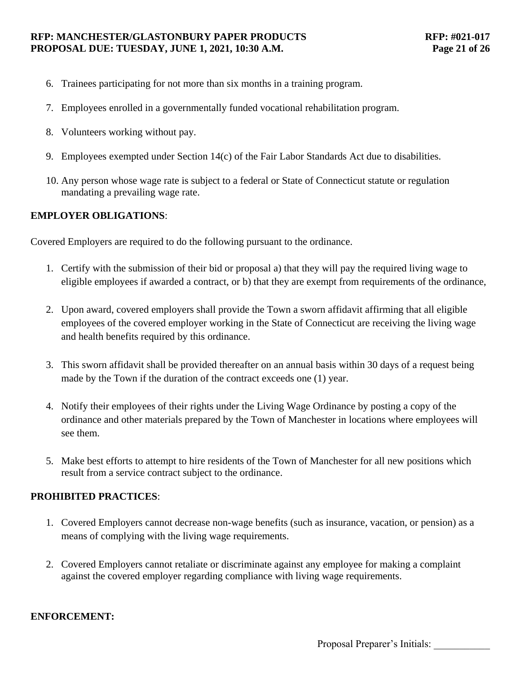#### **RFP: MANCHESTER/GLASTONBURY PAPER PRODUCTS RFP: #021-017 PROPOSAL DUE: TUESDAY, JUNE 1, 2021, 10:30 A.M. Page 21 of 26**

- 6. Trainees participating for not more than six months in a training program.
- 7. Employees enrolled in a governmentally funded vocational rehabilitation program.
- 8. Volunteers working without pay.
- 9. Employees exempted under Section 14(c) of the Fair Labor Standards Act due to disabilities.
- 10. Any person whose wage rate is subject to a federal or State of Connecticut statute or regulation mandating a prevailing wage rate.

### **EMPLOYER OBLIGATIONS**:

Covered Employers are required to do the following pursuant to the ordinance.

- 1. Certify with the submission of their bid or proposal a) that they will pay the required living wage to eligible employees if awarded a contract, or b) that they are exempt from requirements of the ordinance,
- 2. Upon award, covered employers shall provide the Town a sworn affidavit affirming that all eligible employees of the covered employer working in the State of Connecticut are receiving the living wage and health benefits required by this ordinance.
- 3. This sworn affidavit shall be provided thereafter on an annual basis within 30 days of a request being made by the Town if the duration of the contract exceeds one (1) year.
- 4. Notify their employees of their rights under the Living Wage Ordinance by posting a copy of the ordinance and other materials prepared by the Town of Manchester in locations where employees will see them.
- 5. Make best efforts to attempt to hire residents of the Town of Manchester for all new positions which result from a service contract subject to the ordinance.

### **PROHIBITED PRACTICES**:

- 1. Covered Employers cannot decrease non-wage benefits (such as insurance, vacation, or pension) as a means of complying with the living wage requirements.
- 2. Covered Employers cannot retaliate or discriminate against any employee for making a complaint against the covered employer regarding compliance with living wage requirements.

#### **ENFORCEMENT:**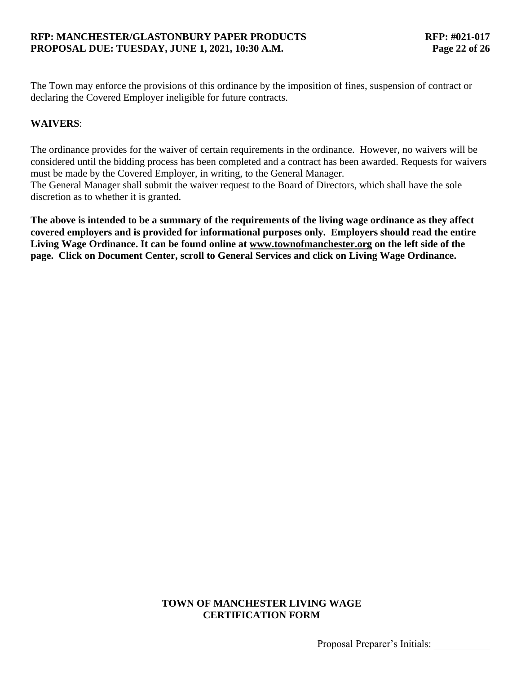The Town may enforce the provisions of this ordinance by the imposition of fines, suspension of contract or declaring the Covered Employer ineligible for future contracts.

### **WAIVERS**:

The ordinance provides for the waiver of certain requirements in the ordinance. However, no waivers will be considered until the bidding process has been completed and a contract has been awarded. Requests for waivers must be made by the Covered Employer, in writing, to the General Manager. The General Manager shall submit the waiver request to the Board of Directors, which shall have the sole discretion as to whether it is granted.

**The above is intended to be a summary of the requirements of the living wage ordinance as they affect covered employers and is provided for informational purposes only. Employers should read the entire Living Wage Ordinance. It can be found online at [www.townofmanchester.org](http://www.townofmanchester.org/) [o](http://www.townofmanchester.org/)n the left side of the page. Click on Document Center, scroll to General Services and click on Living Wage Ordinance.**

### **TOWN OF MANCHESTER LIVING WAGE CERTIFICATION FORM**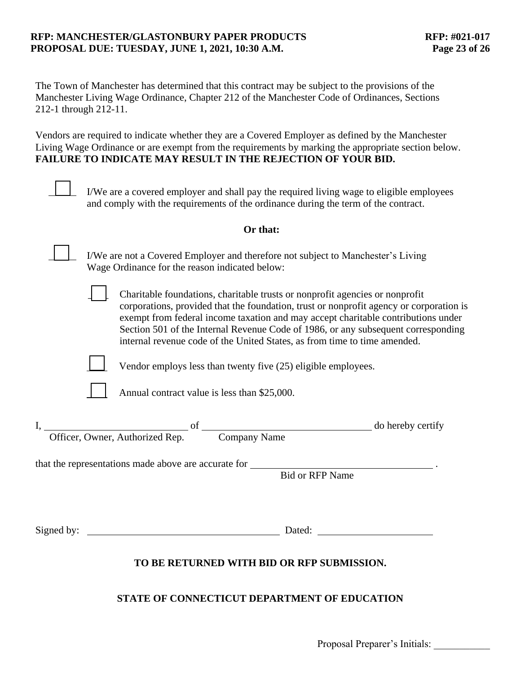### **RFP: MANCHESTER/GLASTONBURY PAPER PRODUCTS RFP: #021-017 PROPOSAL DUE: TUESDAY, JUNE 1, 2021, 10:30 A.M. Page 23 of 26**

The Town of Manchester has determined that this contract may be subject to the provisions of the Manchester Living Wage Ordinance, Chapter 212 of the Manchester Code of Ordinances, Sections 212-1 through 212-11.

Vendors are required to indicate whether they are a Covered Employer as defined by the Manchester Living Wage Ordinance or are exempt from the requirements by marking the appropriate section below. **FAILURE TO INDICATE MAY RESULT IN THE REJECTION OF YOUR BID.**

|            | I/We are a covered employer and shall pay the required living wage to eligible employees<br>and comply with the requirements of the ordinance during the term of the contract.                                                                                                                                                                                                                                                 |
|------------|--------------------------------------------------------------------------------------------------------------------------------------------------------------------------------------------------------------------------------------------------------------------------------------------------------------------------------------------------------------------------------------------------------------------------------|
|            | Or that:                                                                                                                                                                                                                                                                                                                                                                                                                       |
|            | I/We are not a Covered Employer and therefore not subject to Manchester's Living<br>Wage Ordinance for the reason indicated below:                                                                                                                                                                                                                                                                                             |
|            | Charitable foundations, charitable trusts or nonprofit agencies or nonprofit<br>corporations, provided that the foundation, trust or nonprofit agency or corporation is<br>exempt from federal income taxation and may accept charitable contributions under<br>Section 501 of the Internal Revenue Code of 1986, or any subsequent corresponding<br>internal revenue code of the United States, as from time to time amended. |
|            | Vendor employs less than twenty five (25) eligible employees.                                                                                                                                                                                                                                                                                                                                                                  |
|            | Annual contract value is less than \$25,000.                                                                                                                                                                                                                                                                                                                                                                                   |
|            |                                                                                                                                                                                                                                                                                                                                                                                                                                |
|            | <b>Bid or RFP Name</b>                                                                                                                                                                                                                                                                                                                                                                                                         |
| Signed by: | Dated:                                                                                                                                                                                                                                                                                                                                                                                                                         |
|            | TO BE RETURNED WITH BID OR RFP SUBMISSION.                                                                                                                                                                                                                                                                                                                                                                                     |

### **STATE OF CONNECTICUT DEPARTMENT OF EDUCATION**

Proposal Preparer's Initials: \_\_\_\_\_\_\_\_\_\_\_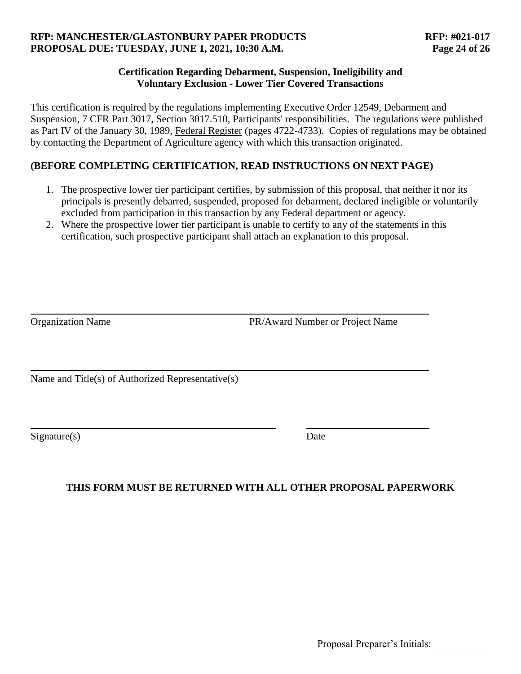### **RFP: MANCHESTER/GLASTONBURY PAPER PRODUCTS RFP: #021-017 PROPOSAL DUE: TUESDAY, JUNE 1, 2021, 10:30 A.M. Page 24 of 26**

### **Certification Regarding Debarment, Suspension, Ineligibility and Voluntary Exclusion - Lower Tier Covered Transactions**

This certification is required by the regulations implementing Executive Order 12549, Debarment and Suspension, 7 CFR Part 3017, Section 3017.510, Participants' responsibilities. The regulations were published as Part IV of the January 30, 1989, Federal Register (pages 4722-4733). Copies of regulations may be obtained by contacting the Department of Agriculture agency with which this transaction originated.

# **(BEFORE COMPLETING CERTIFICATION, READ INSTRUCTIONS ON NEXT PAGE)**

- 1. The prospective lower tier participant certifies, by submission of this proposal, that neither it nor its principals is presently debarred, suspended, proposed for debarment, declared ineligible or voluntarily excluded from participation in this transaction by any Federal department or agency.
- 2. Where the prospective lower tier participant is unable to certify to any of the statements in this certification, such prospective participant shall attach an explanation to this proposal.

Organization Name PR/Award Number or Project Name

Name and Title(s) of Authorized Representative(s)

Signature(s) Date

# **THIS FORM MUST BE RETURNED WITH ALL OTHER PROPOSAL PAPERWORK**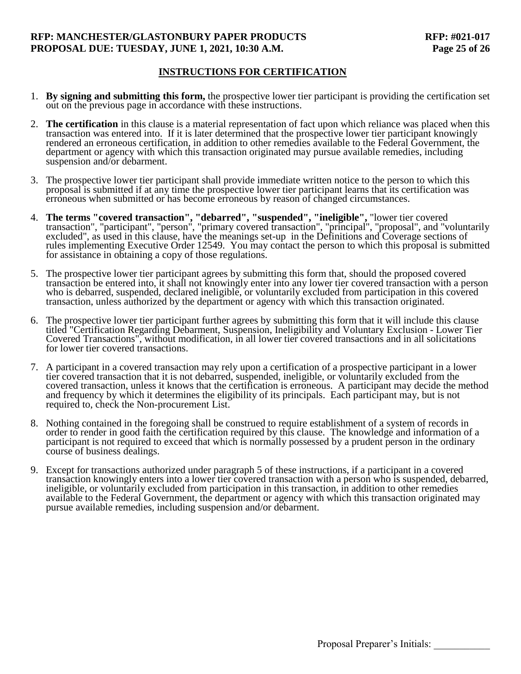#### **RFP: MANCHESTER/GLASTONBURY PAPER PRODUCTS RFP: #021-017 PROPOSAL DUE: TUESDAY, JUNE 1, 2021, 10:30 A.M. Page 25 of 26**

### **INSTRUCTIONS FOR CERTIFICATION**

- 1. **By signing and submitting this form,** the prospective lower tier participant is providing the certification set out on the previous page in accordance with these instructions.
- 2. **The certification** in this clause is a material representation of fact upon which reliance was placed when this transaction was entered into. If it is later determined that the prospective lower tier participant knowingly rendered an erroneous certification, in addition to other remedies available to the Federal Government, the department or agency with which this transaction originated may pursue available remedies, including suspension and/or debarment.
- 3. The prospective lower tier participant shall provide immediate written notice to the person to which this proposal is submitted if at any time the prospective lower tier participant learns that its certification was erroneous when submitted or has become erroneous by reason of changed circumstances.
- 4. **The terms "covered transaction", "debarred", "suspended", "ineligible",** "lower tier covered transaction", "participant", "person", "primary covered transaction", "principal", "proposal", and "voluntarily excluded", as used in this clause, have the meanings set-up in the Definitions and Coverage sections of rules implementing Executive Order 12549. You may contact the person to which this proposal is submitted for assistance in obtaining a copy of those regulations.
- 5. The prospective lower tier participant agrees by submitting this form that, should the proposed covered transaction be entered into, it shall not knowingly enter into any lower tier covered transaction with a person who is debarred, suspended, declared ineligible, or voluntarily excluded from participation in this covered transaction, unless authorized by the department or agency with which this transaction originated.
- 6. The prospective lower tier participant further agrees by submitting this form that it will include this clause titled "Certification Regarding Debarment, Suspension, Ineligibility and Voluntary Exclusion - Lower Tier Covered Transactions", without modification, in all lower tier covered transactions and in all solicitations for lower tier covered transactions.
- 7. A participant in a covered transaction may rely upon a certification of a prospective participant in a lower tier covered transaction that it is not debarred, suspended, ineligible, or voluntarily excluded from the covered transaction, unless it knows that the certification is erroneous. A participant may decide the method and frequency by which it determines the eligibility of its principals. Each participant may, but is not required to, check the Non-procurement List.
- 8. Nothing contained in the foregoing shall be construed to require establishment of a system of records in order to render in good faith the certification required by this clause. The knowledge and information of a participant is not required to exceed that which is normally possessed by a prudent person in the ordinary course of business dealings.
- 9. Except for transactions authorized under paragraph 5 of these instructions, if a participant in a covered transaction knowingly enters into a lower tier covered transaction with a person who is suspended, debarred, ineligible, or voluntarily excluded from participation in this transaction, in addition to other remedies available to the Federal Government, the department or agency with which this transaction originated may pursue available remedies, including suspension and/or debarment.